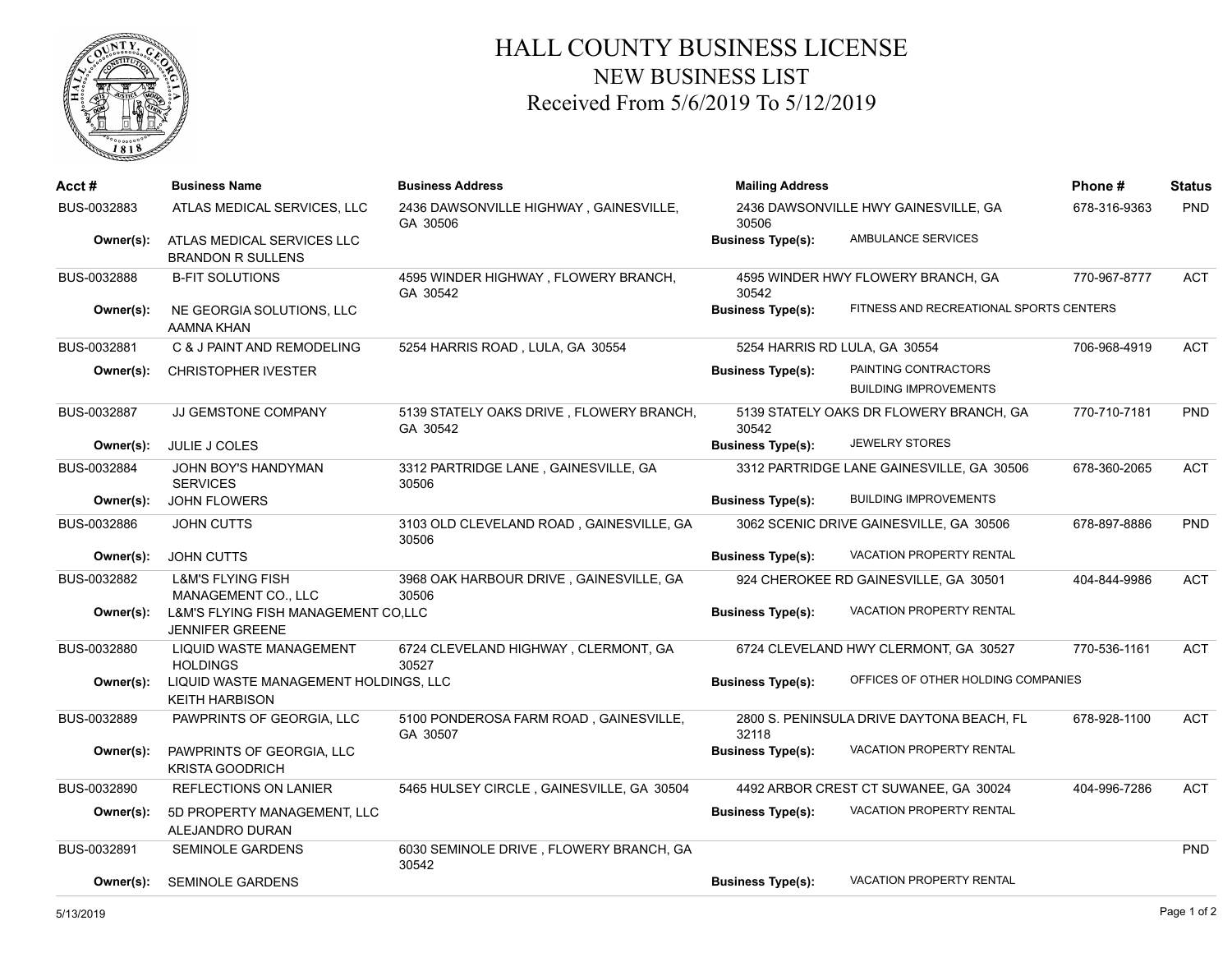

## HALL COUNTY BUSINESS LICENSE NEW BUSINESS LIST Received From 5/6/2019 To 5/12/2019

| Acct #      | <b>Business Name</b>                                           | <b>Business Address</b>                              | <b>Mailing Address</b>        |                                           | Phone#       | <b>Status</b> |
|-------------|----------------------------------------------------------------|------------------------------------------------------|-------------------------------|-------------------------------------------|--------------|---------------|
| BUS-0032883 | ATLAS MEDICAL SERVICES, LLC                                    | 2436 DAWSONVILLE HIGHWAY, GAINESVILLE,<br>GA 30506   | 30506                         | 2436 DAWSONVILLE HWY GAINESVILLE, GA      | 678-316-9363 | PND           |
| Owner(s):   | ATLAS MEDICAL SERVICES LLC<br><b>BRANDON R SULLENS</b>         |                                                      | <b>Business Type(s):</b>      | AMBULANCE SERVICES                        |              |               |
| BUS-0032888 | <b>B-FIT SOLUTIONS</b>                                         | 4595 WINDER HIGHWAY, FLOWERY BRANCH,<br>GA 30542     | 30542                         | 4595 WINDER HWY FLOWERY BRANCH, GA        | 770-967-8777 | <b>ACT</b>    |
| Owner(s):   | NE GEORGIA SOLUTIONS, LLC<br>AAMNA KHAN                        |                                                      | <b>Business Type(s):</b>      | FITNESS AND RECREATIONAL SPORTS CENTERS   |              |               |
| BUS-0032881 | C & J PAINT AND REMODELING                                     | 5254 HARRIS ROAD, LULA, GA 30554                     | 5254 HARRIS RD LULA, GA 30554 |                                           | 706-968-4919 | <b>ACT</b>    |
| Owner(s):   | <b>CHRISTOPHER IVESTER</b>                                     |                                                      | <b>Business Type(s):</b>      | PAINTING CONTRACTORS                      |              |               |
|             |                                                                |                                                      |                               | <b>BUILDING IMPROVEMENTS</b>              |              |               |
| BUS-0032887 | JJ GEMSTONE COMPANY                                            | 5139 STATELY OAKS DRIVE, FLOWERY BRANCH,<br>GA 30542 | 30542                         | 5139 STATELY OAKS DR FLOWERY BRANCH, GA   | 770-710-7181 | PND           |
| Owner(s):   | JULIE J COLES                                                  |                                                      | <b>Business Type(s):</b>      | <b>JEWELRY STORES</b>                     |              |               |
| BUS-0032884 | <b>JOHN BOY'S HANDYMAN</b><br><b>SERVICES</b>                  | 3312 PARTRIDGE LANE, GAINESVILLE, GA<br>30506        |                               | 3312 PARTRIDGE LANE GAINESVILLE, GA 30506 | 678-360-2065 | <b>ACT</b>    |
| Owner(s):   | JOHN FLOWERS                                                   |                                                      | <b>Business Type(s):</b>      | <b>BUILDING IMPROVEMENTS</b>              |              |               |
| BUS-0032886 | JOHN CUTTS                                                     | 3103 OLD CLEVELAND ROAD, GAINESVILLE, GA<br>30506    |                               | 3062 SCENIC DRIVE GAINESVILLE, GA 30506   | 678-897-8886 | PND           |
| Owner(s):   | <b>JOHN CUTTS</b>                                              |                                                      | <b>Business Type(s):</b>      | <b>VACATION PROPERTY RENTAL</b>           |              |               |
| BUS-0032882 | <b>L&amp;M'S FLYING FISH</b><br>MANAGEMENT CO., LLC            | 3968 OAK HARBOUR DRIVE, GAINESVILLE, GA<br>30506     |                               | 924 CHEROKEE RD GAINESVILLE, GA 30501     | 404-844-9986 | <b>ACT</b>    |
| Owner(s):   | L&M'S FLYING FISH MANAGEMENT CO,LLC<br><b>JENNIFER GREENE</b>  |                                                      | <b>Business Type(s):</b>      | VACATION PROPERTY RENTAL                  |              |               |
| BUS-0032880 | LIQUID WASTE MANAGEMENT<br><b>HOLDINGS</b>                     | 6724 CLEVELAND HIGHWAY, CLERMONT, GA<br>30527        |                               | 6724 CLEVELAND HWY CLERMONT, GA 30527     | 770-536-1161 | <b>ACT</b>    |
| Owner(s):   | LIQUID WASTE MANAGEMENT HOLDINGS, LLC<br><b>KEITH HARBISON</b> |                                                      | <b>Business Type(s):</b>      | OFFICES OF OTHER HOLDING COMPANIES        |              |               |
| BUS-0032889 | PAWPRINTS OF GEORGIA, LLC                                      | 5100 PONDEROSA FARM ROAD, GAINESVILLE,<br>GA 30507   | 32118                         | 2800 S. PENINSULA DRIVE DAYTONA BEACH, FL | 678-928-1100 | <b>ACT</b>    |
| Owner(s):   | PAWPRINTS OF GEORGIA, LLC<br><b>KRISTA GOODRICH</b>            |                                                      | <b>Business Type(s):</b>      | <b>VACATION PROPERTY RENTAL</b>           |              |               |
| BUS-0032890 | REFLECTIONS ON LANIER                                          | 5465 HULSEY CIRCLE, GAINESVILLE, GA 30504            |                               | 4492 ARBOR CREST CT SUWANEE, GA 30024     | 404-996-7286 | <b>ACT</b>    |
| Owner(s):   | 5D PROPERTY MANAGEMENT, LLC<br>ALEJANDRO DURAN                 |                                                      | <b>Business Type(s):</b>      | <b>VACATION PROPERTY RENTAL</b>           |              |               |
| BUS-0032891 | <b>SEMINOLE GARDENS</b>                                        | 6030 SEMINOLE DRIVE, FLOWERY BRANCH, GA<br>30542     |                               |                                           |              | PND           |
| Owner(s):   | <b>SEMINOLE GARDENS</b>                                        |                                                      | <b>Business Type(s):</b>      | <b>VACATION PROPERTY RENTAL</b>           |              |               |